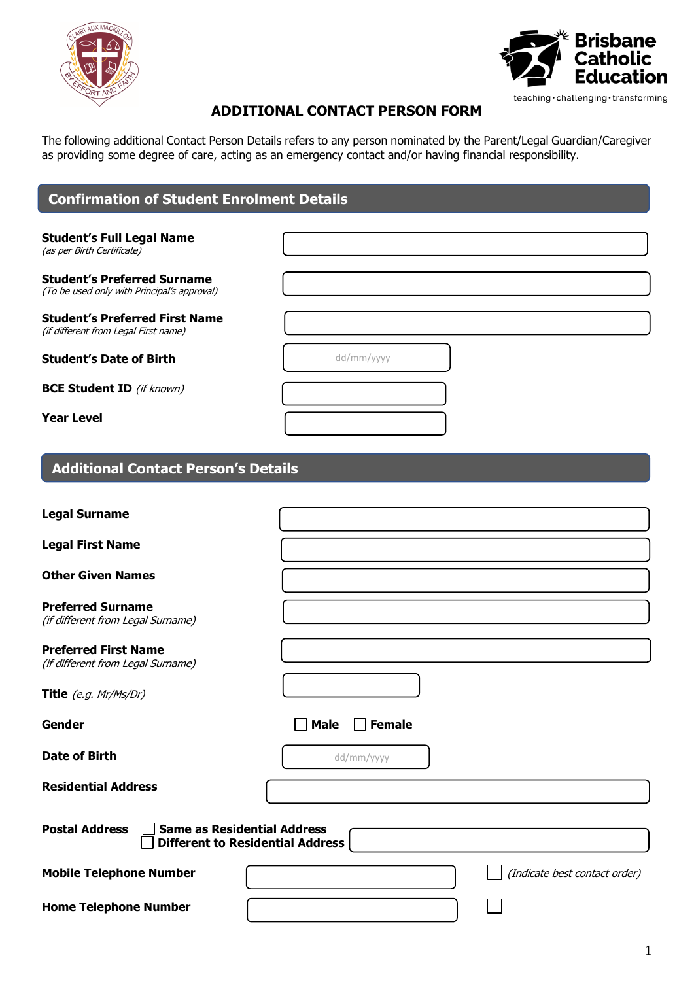



# **ADDITIONAL CONTACT PERSON FORM**

The following additional Contact Person Details refers to any person nominated by the Parent/Legal Guardian/Caregiver as providing some degree of care, acting as an emergency contact and/or having financial responsibility.

| <b>Confirmation of Student Enrolment Details</b>                                  |                                         |
|-----------------------------------------------------------------------------------|-----------------------------------------|
| <b>Student's Full Legal Name</b>                                                  |                                         |
| (as per Birth Certificate)                                                        |                                         |
| <b>Student's Preferred Surname</b><br>(To be used only with Principal's approval) |                                         |
| <b>Student's Preferred First Name</b><br>(if different from Legal First name)     |                                         |
| <b>Student's Date of Birth</b>                                                    | dd/mm/yyyy                              |
| <b>BCE Student ID</b> (if known)                                                  |                                         |
| <b>Year Level</b>                                                                 |                                         |
| <b>Additional Contact Person's Details</b>                                        |                                         |
| <b>Legal Surname</b>                                                              |                                         |
| <b>Legal First Name</b>                                                           |                                         |
| <b>Other Given Names</b>                                                          |                                         |
| <b>Preferred Surname</b><br>(if different from Legal Surname)                     |                                         |
| <b>Preferred First Name</b><br>(if different from Legal Surname)                  |                                         |
| Title (e.g. Mr/Ms/Dr)                                                             |                                         |
| Gender                                                                            | <b>Male</b><br><b>Female</b>            |
| <b>Date of Birth</b>                                                              | dd/mm/yyyy                              |
| <b>Residential Address</b>                                                        |                                         |
| <b>Postal Address</b><br><b>Same as Residential Address</b>                       | <b>Different to Residential Address</b> |
| <b>Mobile Telephone Number</b>                                                    | (Indicate best contact order)           |
| <b>Home Telephone Number</b>                                                      |                                         |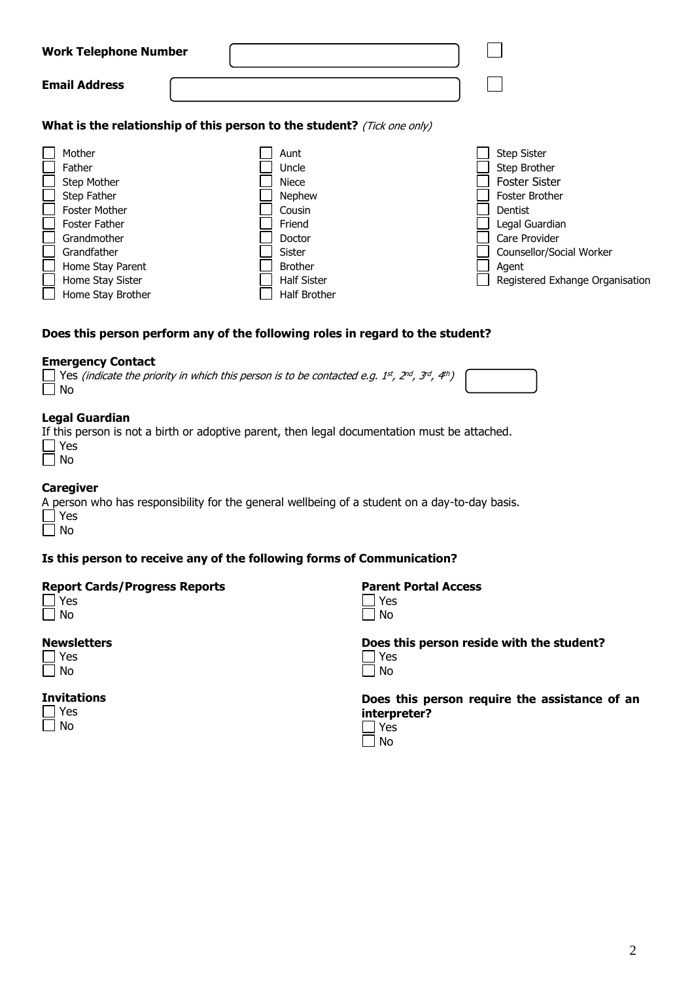| <b>Work Telephone Number</b>                                                                                                                                                              |                                                                                                                                                       |                                                                                                                                                                                                           |
|-------------------------------------------------------------------------------------------------------------------------------------------------------------------------------------------|-------------------------------------------------------------------------------------------------------------------------------------------------------|-----------------------------------------------------------------------------------------------------------------------------------------------------------------------------------------------------------|
| <b>Email Address</b>                                                                                                                                                                      |                                                                                                                                                       |                                                                                                                                                                                                           |
|                                                                                                                                                                                           | What is the relationship of this person to the student? (Tick one only)                                                                               |                                                                                                                                                                                                           |
| Mother<br>Father<br>Step Mother<br>Step Father<br><b>Foster Mother</b><br><b>Foster Father</b><br>Grandmother<br>Grandfather<br>Home Stay Parent<br>Home Stay Sister<br>Home Stay Brother | Aunt<br>Uncle<br><b>Niece</b><br><b>Nephew</b><br>Cousin<br>Friend<br>Doctor<br>Sister<br><b>Brother</b><br><b>Half Sister</b><br><b>Half Brother</b> | <b>Step Sister</b><br>Step Brother<br><b>Foster Sister</b><br><b>Foster Brother</b><br>Dentist<br>Legal Guardian<br>Care Provider<br>Counsellor/Social Worker<br>Agent<br>Registered Exhange Organisation |

## **Does this person perform any of the following roles in regard to the student?**

#### **Emergency Contact**

| Nes (indicate the priority in which this person is to be contacted e.g. 1st, 2nd, 3rd, 4th) |
|---------------------------------------------------------------------------------------------|
| $\Box$ No                                                                                   |

#### **Legal Guardian**

If this person is not a birth or adoptive parent, then legal documentation must be attached.  $\overline{\square}$   $\overline{\vee}$ 

## **Caregiver**

A person who has responsibility for the general wellbeing of a student on a day-to-day basis. Yes

 $\Box$  No

## **Is this person to receive any of the following forms of Communication?**

#### **Report Cards/Progress Reports**

| $\overline{\phantom{a}}$ | c<br>← |
|--------------------------|--------|
| $\overline{\phantom{a}}$ | n<br>J |

#### **Newsletters**

#### **Invitations**  $\overline{\phantom{a}}$

**Parent Portal Access**

| ш<br>⊢  |
|---------|
| N٢<br>n |

**Does this person reside with the student?** Yes

**Does this person require the assistance of an interpreter?**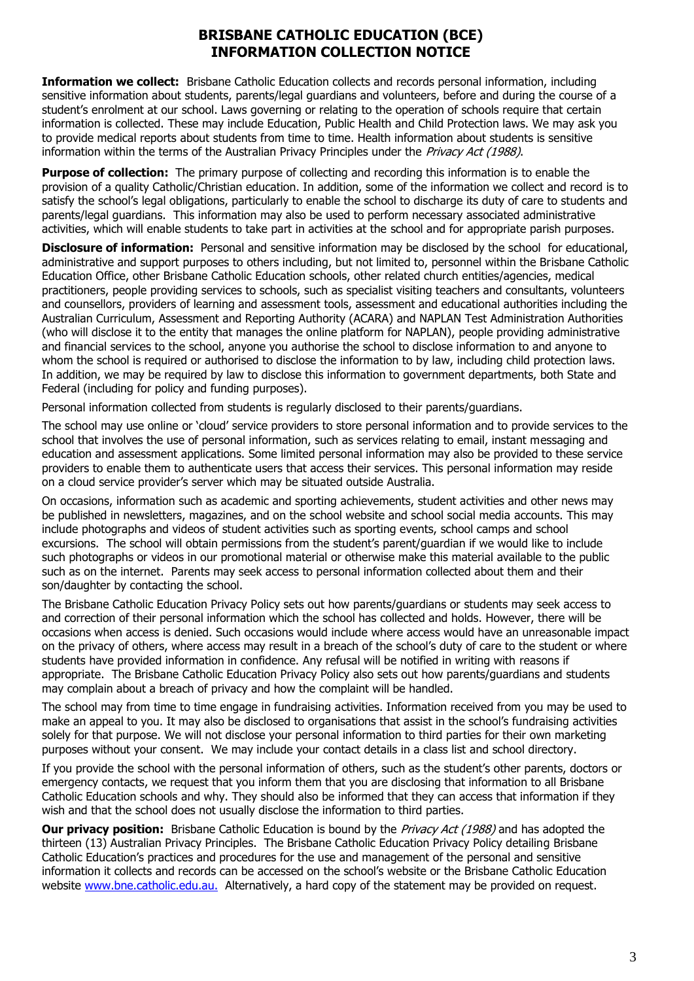## **BRISBANE CATHOLIC EDUCATION (BCE) INFORMATION COLLECTION NOTICE**

**Information we collect:** Brisbane Catholic Education collects and records personal information, including sensitive information about students, parents/legal guardians and volunteers, before and during the course of a student's enrolment at our school. Laws governing or relating to the operation of schools require that certain information is collected. These may include Education, Public Health and Child Protection laws. We may ask you to provide medical reports about students from time to time. Health information about students is sensitive information within the terms of the Australian Privacy Principles under the Privacy Act (1988).

**Purpose of collection:** The primary purpose of collecting and recording this information is to enable the provision of a quality Catholic/Christian education. In addition, some of the information we collect and record is to satisfy the school's legal obligations, particularly to enable the school to discharge its duty of care to students and parents/legal guardians. This information may also be used to perform necessary associated administrative activities, which will enable students to take part in activities at the school and for appropriate parish purposes.

**Disclosure of information:** Personal and sensitive information may be disclosed by the school for educational, administrative and support purposes to others including, but not limited to, personnel within the Brisbane Catholic Education Office, other Brisbane Catholic Education schools, other related church entities/agencies, medical practitioners, people providing services to schools, such as specialist visiting teachers and consultants, volunteers and counsellors, providers of learning and assessment tools, assessment and educational authorities including the Australian Curriculum, Assessment and Reporting Authority (ACARA) and NAPLAN Test Administration Authorities (who will disclose it to the entity that manages the online platform for NAPLAN), people providing administrative and financial services to the school, anyone you authorise the school to disclose information to and anyone to whom the school is required or authorised to disclose the information to by law, including child protection laws. In addition, we may be required by law to disclose this information to government departments, both State and Federal (including for policy and funding purposes).

Personal information collected from students is regularly disclosed to their parents/guardians.

The school may use online or 'cloud' service providers to store personal information and to provide services to the school that involves the use of personal information, such as services relating to email, instant messaging and education and assessment applications. Some limited personal information may also be provided to these service providers to enable them to authenticate users that access their services. This personal information may reside on a cloud service provider's server which may be situated outside Australia.

On occasions, information such as academic and sporting achievements, student activities and other news may be published in newsletters, magazines, and on the school website and school social media accounts. This may include photographs and videos of student activities such as sporting events, school camps and school excursions. The school will obtain permissions from the student's parent/guardian if we would like to include such photographs or videos in our promotional material or otherwise make this material available to the public such as on the internet. Parents may seek access to personal information collected about them and their son/daughter by contacting the school.

The Brisbane Catholic Education Privacy Policy sets out how parents/guardians or students may seek access to and correction of their personal information which the school has collected and holds. However, there will be occasions when access is denied. Such occasions would include where access would have an unreasonable impact on the privacy of others, where access may result in a breach of the school's duty of care to the student or where students have provided information in confidence. Any refusal will be notified in writing with reasons if appropriate. The Brisbane Catholic Education Privacy Policy also sets out how parents/guardians and students may complain about a breach of privacy and how the complaint will be handled.

The school may from time to time engage in fundraising activities. Information received from you may be used to make an appeal to you. It may also be disclosed to organisations that assist in the school's fundraising activities solely for that purpose. We will not disclose your personal information to third parties for their own marketing purposes without your consent. We may include your contact details in a class list and school directory.

If you provide the school with the personal information of others, such as the student's other parents, doctors or emergency contacts, we request that you inform them that you are disclosing that information to all Brisbane Catholic Education schools and why. They should also be informed that they can access that information if they wish and that the school does not usually disclose the information to third parties.

**Our privacy position:** Brisbane Catholic Education is bound by the *Privacy Act (1988)* and has adopted the thirteen (13) Australian Privacy Principles. The Brisbane Catholic Education Privacy Policy detailing Brisbane Catholic Education's practices and procedures for the use and management of the personal and sensitive information it collects and records can be accessed on the school's website or the Brisbane Catholic Education website [www.bne.catholic.edu.au.](http://www.bne.catholic.edu.au/) Alternatively, a hard copy of the statement may be provided on request.